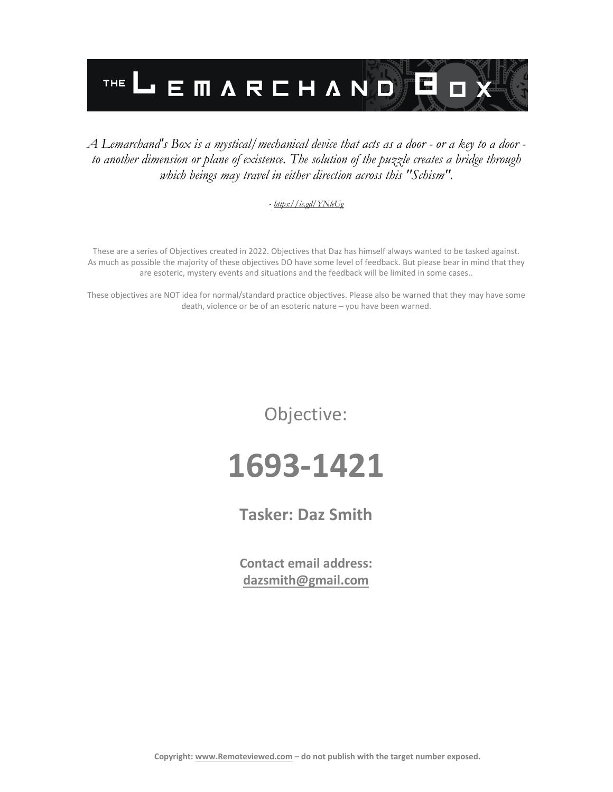

#### *A Lemarchand's Box is a mystical/mechanical device that acts as a door - or a key to a door to another dimension or plane of existence. The solution of the puzzle creates a bridge through which beings may travel in either direction across this "Schism".*

#### *- <https://is.gd/YNleUg>*

These are a series of Objectives created in 2022. Objectives that Daz has himself always wanted to be tasked against. As much as possible the majority of these objectives DO have some level of feedback. But please bear in mind that they are esoteric, mystery events and situations and the feedback will be limited in some cases..

These objectives are NOT idea for normal/standard practice objectives. Please also be warned that they may have some death, violence or be of an esoteric nature – you have been warned.

Objective:

# **1693-1421**

**Tasker: Daz Smith**

**Contact email address: [dazsmith@gmail.com](mailto:dazsmith@gmail.com)**